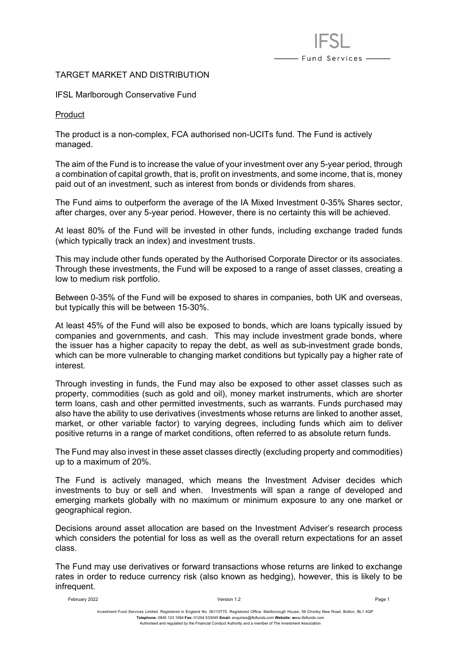# - Fund Services —

## TARGET MARKET AND DISTRIBUTION

#### IFSL Marlborough Conservative Fund

Product

The product is a non-complex, FCA authorised non-UCITs fund. The Fund is actively managed.

The aim of the Fund is to increase the value of your investment over any 5-year period, through a combination of capital growth, that is, profit on investments, and some income, that is, money paid out of an investment, such as interest from bonds or dividends from shares.

The Fund aims to outperform the average of the IA Mixed Investment 0-35% Shares sector, after charges, over any 5-year period. However, there is no certainty this will be achieved.

At least 80% of the Fund will be invested in other funds, including exchange traded funds (which typically track an index) and investment trusts.

This may include other funds operated by the Authorised Corporate Director or its associates. Through these investments, the Fund will be exposed to a range of asset classes, creating a low to medium risk portfolio.

Between 0-35% of the Fund will be exposed to shares in companies, both UK and overseas, but typically this will be between 15-30%.

At least 45% of the Fund will also be exposed to bonds, which are loans typically issued by companies and governments, and cash. This may include investment grade bonds, where the issuer has a higher capacity to repay the debt, as well as sub-investment grade bonds, which can be more vulnerable to changing market conditions but typically pay a higher rate of interest.

Through investing in funds, the Fund may also be exposed to other asset classes such as property, commodities (such as gold and oil), money market instruments, which are shorter term loans, cash and other permitted investments, such as warrants. Funds purchased may also have the ability to use derivatives (investments whose returns are linked to another asset, market, or other variable factor) to varying degrees, including funds which aim to deliver positive returns in a range of market conditions, often referred to as absolute return funds.

The Fund may also invest in these asset classes directly (excluding property and commodities) up to a maximum of 20%.

The Fund is actively managed, which means the Investment Adviser decides which investments to buy or sell and when. Investments will span a range of developed and emerging markets globally with no maximum or minimum exposure to any one market or geographical region.

Decisions around asset allocation are based on the Investment Adviser's research process which considers the potential for loss as well as the overall return expectations for an asset class.

The Fund may use derivatives or forward transactions whose returns are linked to exchange rates in order to reduce currency risk (also known as hedging), however, this is likely to be infrequent.

February 2022 Version 1.2 Page 1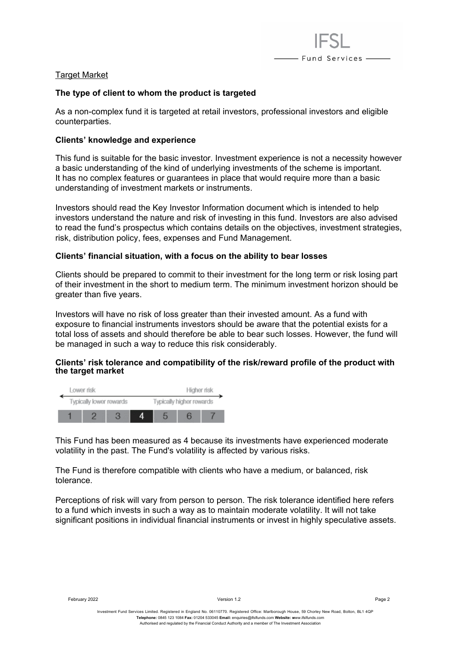

## Target Market

### **The type of client to whom the product is targeted**

As a non-complex fund it is targeted at retail investors, professional investors and eligible counterparties.

### **Clients' knowledge and experience**

This fund is suitable for the basic investor. Investment experience is not a necessity however a basic understanding of the kind of underlying investments of the scheme is important. It has no complex features or guarantees in place that would require more than a basic understanding of investment markets or instruments.

Investors should read the Key Investor Information document which is intended to help investors understand the nature and risk of investing in this fund. Investors are also advised to read the fund's prospectus which contains details on the objectives, investment strategies, risk, distribution policy, fees, expenses and Fund Management.

### **Clients' financial situation, with a focus on the ability to bear losses**

Clients should be prepared to commit to their investment for the long term or risk losing part of their investment in the short to medium term. The minimum investment horizon should be greater than five years.

Investors will have no risk of loss greater than their invested amount. As a fund with exposure to financial instruments investors should be aware that the potential exists for a total loss of assets and should therefore be able to bear such losses. However, the fund will be managed in such a way to reduce this risk considerably.

### **Clients' risk tolerance and compatibility of the risk/reward profile of the product with the target market**



This Fund has been measured as 4 because its investments have experienced moderate volatility in the past. The Fund's volatility is affected by various risks.

The Fund is therefore compatible with clients who have a medium, or balanced, risk tolerance.

Perceptions of risk will vary from person to person. The risk tolerance identified here refers to a fund which invests in such a way as to maintain moderate volatility. It will not take significant positions in individual financial instruments or invest in highly speculative assets.